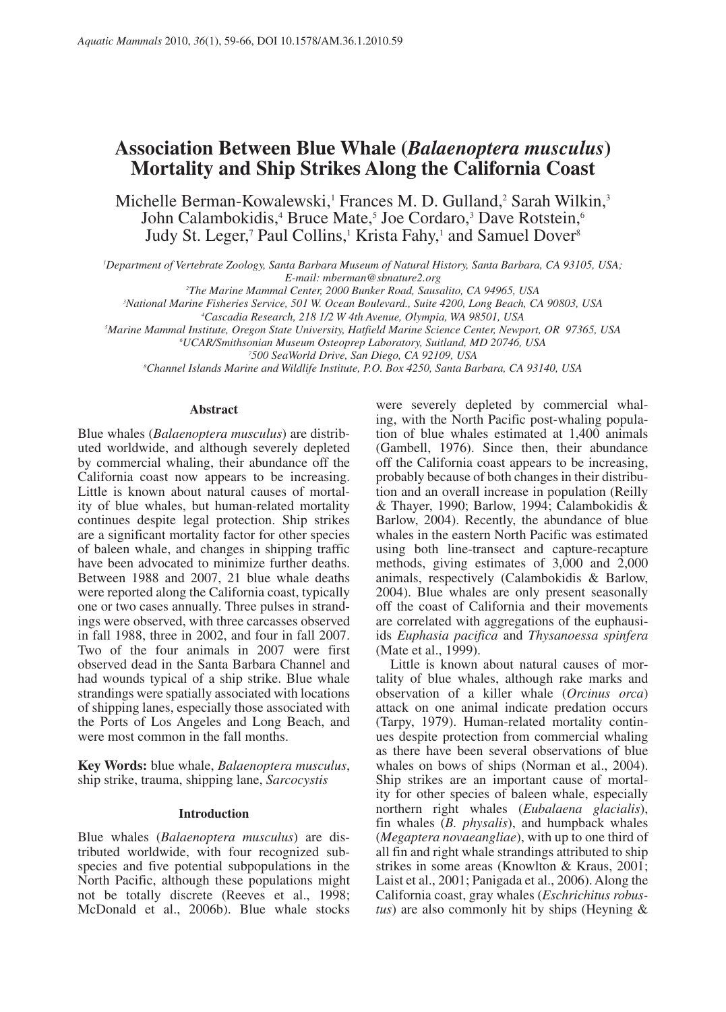# **Association Between Blue Whale (***Balaenoptera musculus***) Mortality and Ship Strikes Along the California Coast**

Michelle Berman-Kowalewski,<sup>1</sup> Frances M. D. Gulland,<sup>2</sup> Sarah Wilkin,<sup>3</sup> John Calambokidis,<sup>4</sup> Bruce Mate,<sup>5</sup> Joe Cordaro,<sup>3</sup> Dave Rotstein,<sup>6</sup> Judy St. Leger,<sup>7</sup> Paul Collins,<sup>1</sup> Krista Fahy,<sup>1</sup> and Samuel Dover<sup>8</sup>

*1 Department of Vertebrate Zoology, Santa Barbara Museum of Natural History, Santa Barbara, CA 93105, USA; E-mail: mberman@sbnature2.org*

*2 The Marine Mammal Center, 2000 Bunker Road, Sausalito, CA 94965, USA*

*3 National Marine Fisheries Service, 501 W. Ocean Boulevard., Suite 4200, Long Beach, CA 90803, USA*

*4 Cascadia Research, 218 1/2 W 4th Avenue, Olympia, WA 98501, USA 5*

*Marine Mammal Institute, Oregon State University, Hatfield Marine Science Center, Newport, OR 97365, USA*

*6 UCAR/Smithsonian Museum Osteoprep Laboratory, Suitland, MD 20746, USA*

*7 500 SeaWorld Drive, San Diego, CA 92109, USA*

*8 Channel Islands Marine and Wildlife Institute, P.O. Box 4250, Santa Barbara, CA 93140, USA*

#### **Abstract**

Blue whales (*Balaenoptera musculus*) are distributed worldwide, and although severely depleted by commercial whaling, their abundance off the California coast now appears to be increasing. Little is known about natural causes of mortality of blue whales, but human-related mortality continues despite legal protection. Ship strikes are a significant mortality factor for other species of baleen whale, and changes in shipping traffic have been advocated to minimize further deaths. Between 1988 and 2007, 21 blue whale deaths were reported along the California coast, typically one or two cases annually. Three pulses in strandings were observed, with three carcasses observed in fall 1988, three in 2002, and four in fall 2007. Two of the four animals in 2007 were first observed dead in the Santa Barbara Channel and had wounds typical of a ship strike. Blue whale strandings were spatially associated with locations of shipping lanes, especially those associated with the Ports of Los Angeles and Long Beach, and were most common in the fall months.

**Key Words:** blue whale, *Balaenoptera musculus*, ship strike, trauma, shipping lane, *Sarcocystis*

### **Introduction**

Blue whales (*Balaenoptera musculus*) are distributed worldwide, with four recognized subspecies and five potential subpopulations in the North Pacific, although these populations might not be totally discrete (Reeves et al., 1998; McDonald et al., 2006b). Blue whale stocks

were severely depleted by commercial whaling, with the North Pacific post-whaling population of blue whales estimated at 1,400 animals (Gambell, 1976). Since then, their abundance off the California coast appears to be increasing, probably because of both changes in their distribution and an overall increase in population (Reilly & Thayer, 1990; Barlow, 1994; Calambokidis & Barlow, 2004). Recently, the abundance of blue whales in the eastern North Pacific was estimated using both line-transect and capture-recapture methods, giving estimates of 3,000 and 2,000 animals, respectively (Calambokidis & Barlow, 2004). Blue whales are only present seasonally off the coast of California and their movements are correlated with aggregations of the euphausiids *Euphasia pacifica* and *Thysanoessa spinfera* (Mate et al., 1999).

Little is known about natural causes of mortality of blue whales, although rake marks and observation of a killer whale (*Orcinus orca*) attack on one animal indicate predation occurs (Tarpy, 1979). Human-related mortality continues despite protection from commercial whaling as there have been several observations of blue whales on bows of ships (Norman et al., 2004). Ship strikes are an important cause of mortality for other species of baleen whale, especially northern right whales (*Eubalaena glacialis*), fin whales (*B. physalis*), and humpback whales (*Megaptera novaeangliae*), with up to one third of all fin and right whale strandings attributed to ship strikes in some areas (Knowlton & Kraus, 2001; Laist et al., 2001; Panigada et al., 2006). Along the California coast, gray whales (*Eschrichitus robustus*) are also commonly hit by ships (Heyning &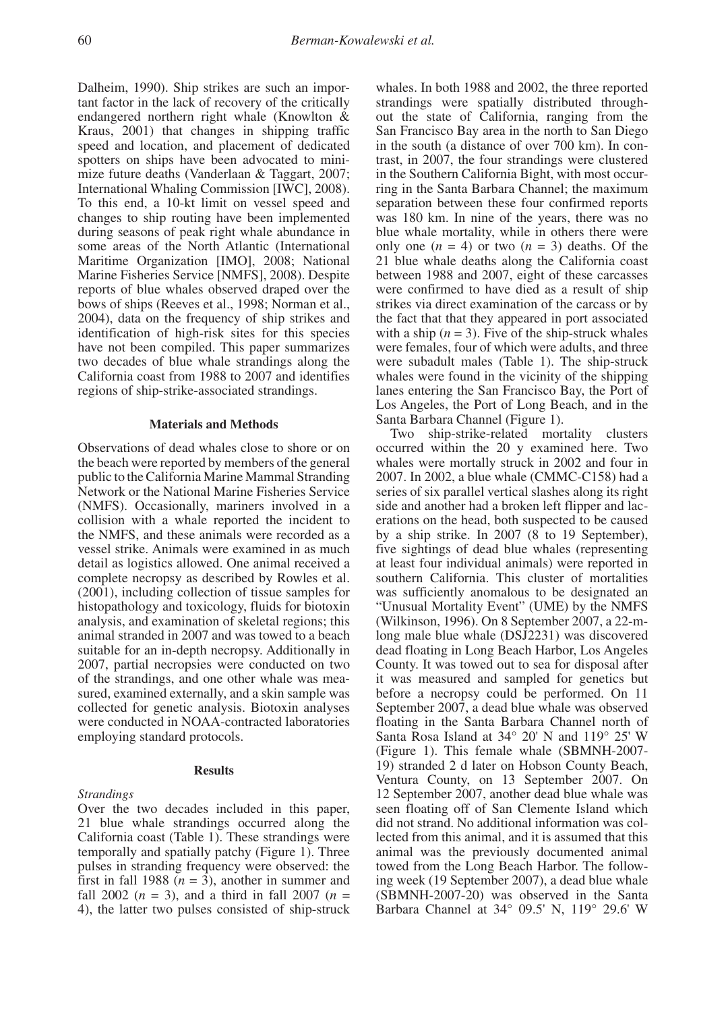Dalheim, 1990). Ship strikes are such an important factor in the lack of recovery of the critically endangered northern right whale (Knowlton & Kraus, 2001) that changes in shipping traffic speed and location, and placement of dedicated spotters on ships have been advocated to minimize future deaths (Vanderlaan & Taggart, 2007; International Whaling Commission [IWC], 2008). To this end, a 10-kt limit on vessel speed and changes to ship routing have been implemented during seasons of peak right whale abundance in some areas of the North Atlantic (International Maritime Organization [IMO], 2008; National Marine Fisheries Service [NMFS], 2008). Despite reports of blue whales observed draped over the bows of ships (Reeves et al., 1998; Norman et al., 2004), data on the frequency of ship strikes and identification of high-risk sites for this species have not been compiled. This paper summarizes two decades of blue whale strandings along the California coast from 1988 to 2007 and identifies regions of ship-strike-associated strandings.

### **Materials and Methods**

Observations of dead whales close to shore or on the beach were reported by members of the general public to the California Marine Mammal Stranding Network or the National Marine Fisheries Service (NMFS). Occasionally, mariners involved in a collision with a whale reported the incident to the NMFS, and these animals were recorded as a vessel strike. Animals were examined in as much detail as logistics allowed. One animal received a complete necropsy as described by Rowles et al. (2001), including collection of tissue samples for histopathology and toxicology, fluids for biotoxin analysis, and examination of skeletal regions; this animal stranded in 2007 and was towed to a beach suitable for an in-depth necropsy. Additionally in 2007, partial necropsies were conducted on two of the strandings, and one other whale was measured, examined externally, and a skin sample was collected for genetic analysis. Biotoxin analyses were conducted in NOAA-contracted laboratories employing standard protocols.

#### **Results**

### *Strandings*

Over the two decades included in this paper, 21 blue whale strandings occurred along the California coast (Table 1). These strandings were temporally and spatially patchy (Figure 1). Three pulses in stranding frequency were observed: the first in fall 1988  $(n = 3)$ , another in summer and fall 2002 ( $n = 3$ ), and a third in fall 2007 ( $n =$ 4), the latter two pulses consisted of ship-struck

whales. In both 1988 and 2002, the three reported strandings were spatially distributed throughout the state of California, ranging from the San Francisco Bay area in the north to San Diego in the south (a distance of over 700 km). In contrast, in 2007, the four strandings were clustered in the Southern California Bight, with most occurring in the Santa Barbara Channel; the maximum separation between these four confirmed reports was 180 km. In nine of the years, there was no blue whale mortality, while in others there were only one  $(n = 4)$  or two  $(n = 3)$  deaths. Of the 21 blue whale deaths along the California coast between 1988 and 2007, eight of these carcasses were confirmed to have died as a result of ship strikes via direct examination of the carcass or by the fact that that they appeared in port associated with a ship  $(n = 3)$ . Five of the ship-struck whales were females, four of which were adults, and three were subadult males (Table 1). The ship-struck whales were found in the vicinity of the shipping lanes entering the San Francisco Bay, the Port of Los Angeles, the Port of Long Beach, and in the Santa Barbara Channel (Figure 1).

Two ship-strike-related mortality clusters occurred within the 20 y examined here. Two whales were mortally struck in 2002 and four in 2007. In 2002, a blue whale (CMMC-C158) had a series of six parallel vertical slashes along its right side and another had a broken left flipper and lacerations on the head, both suspected to be caused by a ship strike. In 2007 (8 to 19 September), five sightings of dead blue whales (representing at least four individual animals) were reported in southern California. This cluster of mortalities was sufficiently anomalous to be designated an "Unusual Mortality Event" (UME) by the NMFS (Wilkinson, 1996). On 8 September 2007, a 22-mlong male blue whale (DSJ2231) was discovered dead floating in Long Beach Harbor, Los Angeles County. It was towed out to sea for disposal after it was measured and sampled for genetics but before a necropsy could be performed. On 11 September 2007, a dead blue whale was observed floating in the Santa Barbara Channel north of Santa Rosa Island at 34° 20' N and 119° 25' W (Figure 1). This female whale (SBMNH-2007- 19) stranded 2 d later on Hobson County Beach, Ventura County, on 13 September 2007. On 12 September 2007, another dead blue whale was seen floating off of San Clemente Island which did not strand. No additional information was collected from this animal, and it is assumed that this animal was the previously documented animal towed from the Long Beach Harbor. The following week (19 September 2007), a dead blue whale (SBMNH-2007-20) was observed in the Santa Barbara Channel at 34° 09.5' N, 119° 29.6' W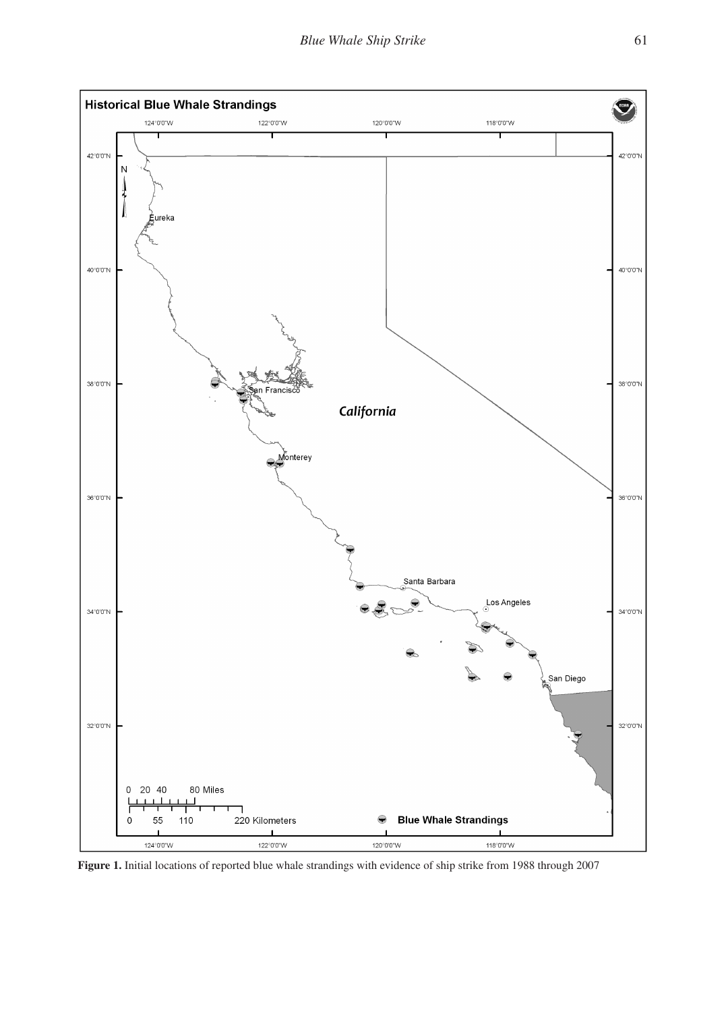

**Figure 1.** Initial locations of reported blue whale strandings with evidence of ship strike from 1988 through 2007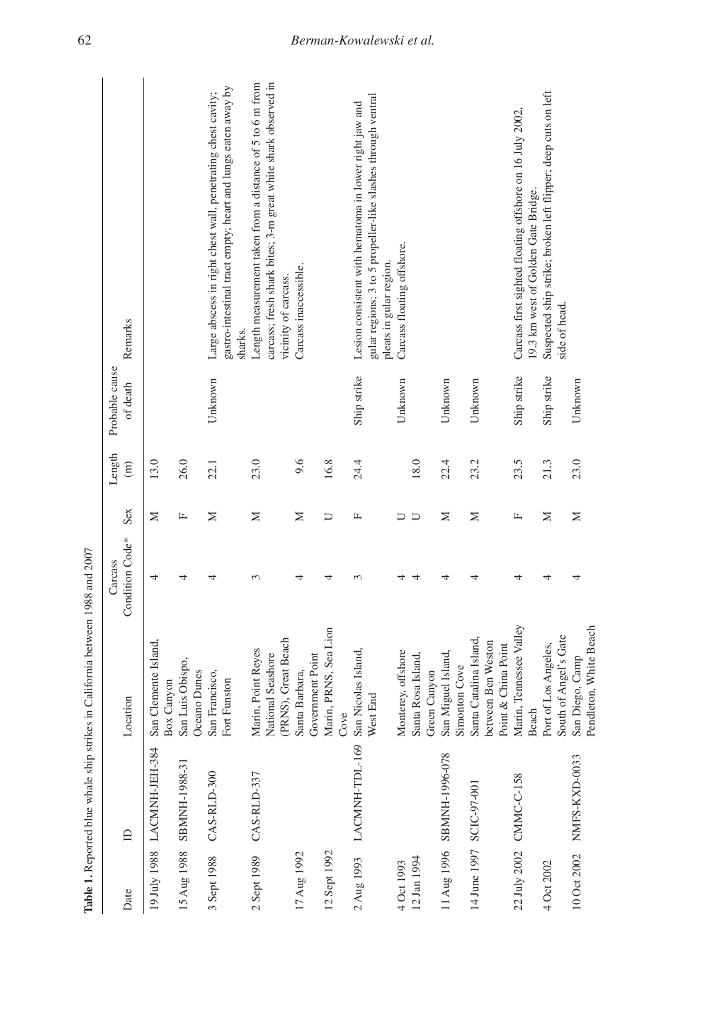|              | Table 1. Reported blue whale ship strikes | in California between 1988 and 2007                                 |                                        |     |                         |                            |                                                                                                                                                    |
|--------------|-------------------------------------------|---------------------------------------------------------------------|----------------------------------------|-----|-------------------------|----------------------------|----------------------------------------------------------------------------------------------------------------------------------------------------|
| Date         | $\mathbf{D}$                              | Location                                                            | Condition Code <sup>*</sup><br>Carcass | Sex | Length<br>$\widehat{E}$ | Probable cause<br>of death | Remarks                                                                                                                                            |
|              | 19 July 1988 LACMNH-JEH-384               | San Clemente Island,<br><b>Box Canyon</b>                           | 4                                      | Σ   | 13.0                    |                            |                                                                                                                                                    |
| 15 Aug 1988  | SBMNH-1988-31                             | San Luis Obispo,<br>Oceano Dunes                                    | 4                                      | 山   | 26.0                    |                            |                                                                                                                                                    |
| 3 Sept 1988  | CAS-RLD-300                               | San Francisco,<br>Fort Funston                                      |                                        | Σ   | 22.1                    | Unknown                    | gastro-intestinal tract empty; heart and lungs eaten away by<br>Large abscess in right chest wall, penetrating chest cavity;<br>sharks.            |
| 2 Sept 1989  | CAS-RLD-337                               | (PRNS), Great Beach<br>Marin, Point Reyes<br>National Seashore      | 3                                      | Σ   | 23.0                    |                            | carcass; fresh shark bites; 3-m great white shark observed in<br>Length measurement taken from a distance of 5 to 6 m from<br>vicinity of carcass. |
| 17 Aug 1992  |                                           | Government Point<br>Santa Barbara,                                  | 4                                      | Σ   | 9.6                     |                            | Carcass inaccessible.                                                                                                                              |
| 12 Sept 1992 |                                           | Marin, PRNS, Sea Lion<br>Cove                                       | 4                                      | ⊃   | 16.8                    |                            |                                                                                                                                                    |
| 2 Aug 1993   | LACMNH-TDL-169 San Nicolas Island,        | West End                                                            | 3                                      | Щ   | 24.4                    | Ship strike                | gular regions; 3 to 5 propeller-like slashes through ventral<br>Lesion consistent with hematoma in lower right jaw and<br>pleats in gular region.  |
| 4 Oct 1993   |                                           | Monterey, offshore                                                  |                                        | ⊃   |                         | Unknown                    | Carcass floating offshore.                                                                                                                         |
| 12 Jan 1994  |                                           | Santa Rosa Island,<br>Green Canyon                                  |                                        | コ   | 18.0                    |                            |                                                                                                                                                    |
| 11 Aug 1996  | SBMNH-1996-078                            | San Miguel Island,<br>Simonton Cove                                 |                                        | Σ   | 22.4                    | Unknown                    |                                                                                                                                                    |
|              | 14 June 1997 SCIC-97-001                  | Santa Catalina Island,<br>between Ben Weston<br>Point & China Point |                                        | z   | 23.2                    | Unknown                    |                                                                                                                                                    |
| 22 July 2002 | CMMC-C-158                                | Marin, Tennessee Valley<br>Beach                                    |                                        | Щ   | 23.5                    | Ship strike                | Carcass first sighted floating offshore on 16 July 2002,<br>19.3 km west of Golden Gate Bridge.                                                    |
| 4 Oct 2002   |                                           | South of Angel's Gate<br>Port of Los Angeles,                       | 4                                      | Σ   | 21.3                    | Ship strike                | Suspected ship strike; broken left flipper; deep cuts on left<br>side of head.                                                                     |
| 10 Oct 2002  | NMFS-KXD-0033                             | Pendleton, White Beach<br>San Diego, Camp                           |                                        | Σ   | 23.0                    | Unknown                    |                                                                                                                                                    |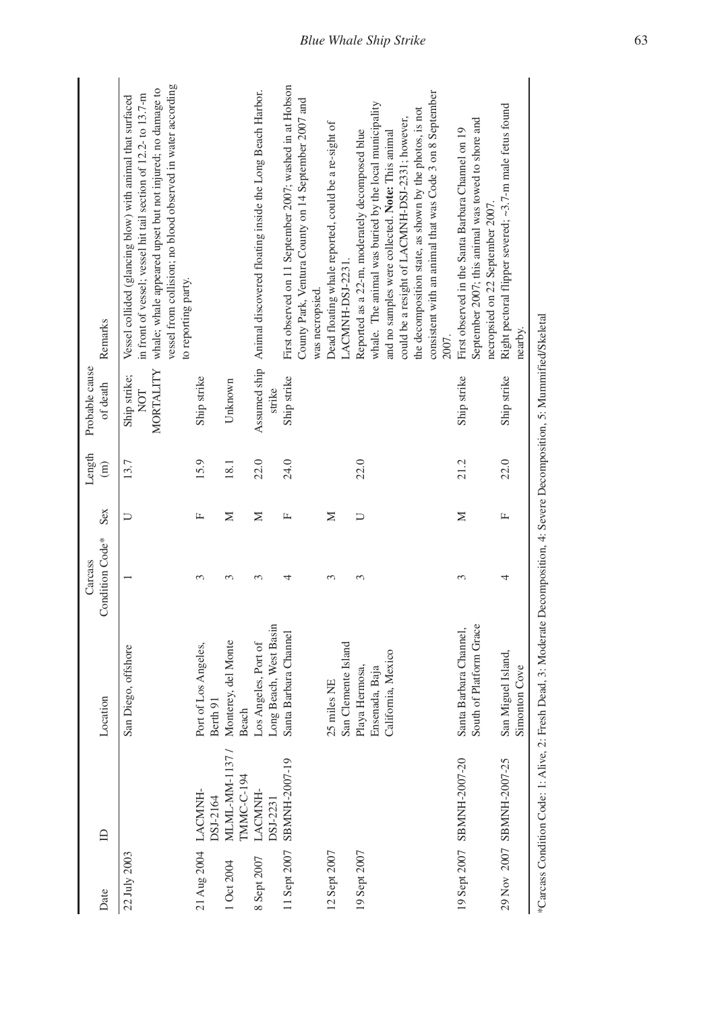| Remarks                    | vessel from collision; no blood observed in water according<br>whale; whale appeared upset but not injured; no damage to<br>in front of vessel; vessel hit tail section of 12.2- to 13.7-m<br>Vessel collided (glancing blow) with animal that surfaced<br>to reporting party. |                                                         |            | Animal discovered floating inside the Long Beach Harbor. | First observed on 11 September 2007; washed in at Hobson<br>County Park, Ventura County on 14 September 2007 and<br>was necropsied. | Dead floating whale reported, could be a re-sight of<br>LACMNH-DSJ-2231. | consistent with an animal that was Code 3 on 8 September<br>whale. The animal was buried by the local municipality<br>the decomposition state, as shown by the photos, is not<br>could be a resight of LACMNH-DSJ-2331; however,<br>Reported as a 22-m, moderately decomposed blue<br>and no samples were collected. Note: This animal<br>2007. | September 2007; this animal was towed to shore and<br>First observed in the Santa Barbara Channel on 19<br>necropsied on 22 September 2007 | Right pectoral flipper severed; ~3.7-m male fetus found<br>nearby.                                                         |  |
|----------------------------|--------------------------------------------------------------------------------------------------------------------------------------------------------------------------------------------------------------------------------------------------------------------------------|---------------------------------------------------------|------------|----------------------------------------------------------|-------------------------------------------------------------------------------------------------------------------------------------|--------------------------------------------------------------------------|-------------------------------------------------------------------------------------------------------------------------------------------------------------------------------------------------------------------------------------------------------------------------------------------------------------------------------------------------|--------------------------------------------------------------------------------------------------------------------------------------------|----------------------------------------------------------------------------------------------------------------------------|--|
| Probable cause<br>of death | MORTALITY<br>Ship strike;<br>NOT                                                                                                                                                                                                                                               | Ship strike<br>Unknown                                  |            | Assumed ship<br>strike                                   | Ship strike                                                                                                                         |                                                                          |                                                                                                                                                                                                                                                                                                                                                 | Ship strike                                                                                                                                | Ship strike                                                                                                                |  |
| Length<br>$\widehat{E}$    | 13.7                                                                                                                                                                                                                                                                           | 15.9<br>18.1                                            |            | 22.0                                                     | 24.0                                                                                                                                |                                                                          | 22.0                                                                                                                                                                                                                                                                                                                                            | 21.2                                                                                                                                       | 22.0                                                                                                                       |  |
| Sex                        | Þ                                                                                                                                                                                                                                                                              | Σ<br>Щ                                                  |            | Σ                                                        | Щ                                                                                                                                   | Σ                                                                        | コ                                                                                                                                                                                                                                                                                                                                               | Σ                                                                                                                                          | Щ                                                                                                                          |  |
| Condition Code*<br>Carcass |                                                                                                                                                                                                                                                                                | 3                                                       |            |                                                          | 4                                                                                                                                   | 3                                                                        | 3                                                                                                                                                                                                                                                                                                                                               | 3                                                                                                                                          | 4                                                                                                                          |  |
| Location                   | San Diego, offshore                                                                                                                                                                                                                                                            | Monterey, del Monte<br>Port of Los Angeles,<br>Berth 91 | Beach      | Los Angeles, Port of<br>Long Beach, West Basin           | Santa Barbara Channel                                                                                                               | 25 miles NE                                                              | San Clemente Island<br>Playa Hermosa,<br>Ensenada, Baja<br>California, Mexico                                                                                                                                                                                                                                                                   | South of Platform Grace<br>Santa Barbara Channel,                                                                                          | esh Dead, 3: Moderate Decomposition, 4: Severe Decomposition, 5: Mummified/Skeletal<br>San Miguel Island,<br>Simonton Cove |  |
| $\mathbf{D}$               |                                                                                                                                                                                                                                                                                | MLML-MM-1137/<br>LACMNH-<br>DSJ-2164                    | TMMC-C-194 | LACMNH-<br>DSJ-2231                                      | SBMNH-2007-19                                                                                                                       |                                                                          |                                                                                                                                                                                                                                                                                                                                                 | 19 Sept 2007 SBMNH-2007-20                                                                                                                 | *Carcass Condition Code: 1: Alive, 2: Fr<br>29 Nov 2007 SBMNH-2007-25                                                      |  |
| Date                       | 22 July 2003                                                                                                                                                                                                                                                                   | 21 Aug 2004<br>1 Oct 2004                               |            | 8 Sept 2007                                              | 11 Sept 2007                                                                                                                        | 12 Sept 2007                                                             | 19 Sept 2007                                                                                                                                                                                                                                                                                                                                    |                                                                                                                                            |                                                                                                                            |  |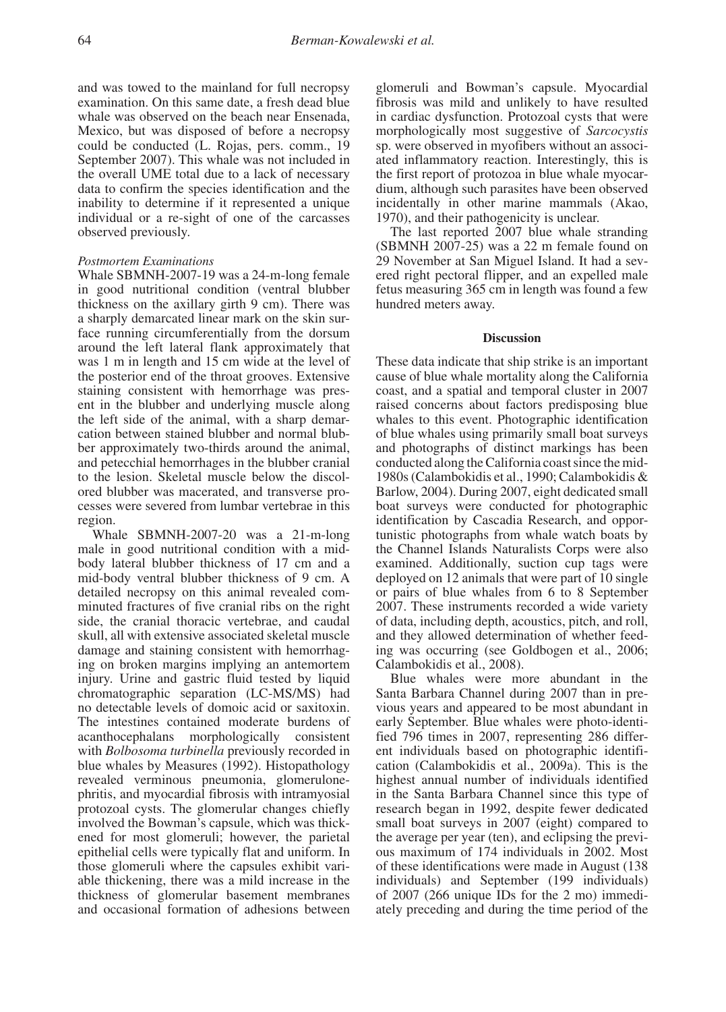and was towed to the mainland for full necropsy examination. On this same date, a fresh dead blue whale was observed on the beach near Ensenada, Mexico, but was disposed of before a necropsy could be conducted (L. Rojas, pers. comm., 19 September 2007). This whale was not included in the overall UME total due to a lack of necessary data to confirm the species identification and the inability to determine if it represented a unique individual or a re-sight of one of the carcasses observed previously.

# *Postmortem Examinations*

Whale SBMNH-2007-19 was a 24-m-long female in good nutritional condition (ventral blubber thickness on the axillary girth 9 cm). There was a sharply demarcated linear mark on the skin surface running circumferentially from the dorsum around the left lateral flank approximately that was 1 m in length and 15 cm wide at the level of the posterior end of the throat grooves. Extensive staining consistent with hemorrhage was present in the blubber and underlying muscle along the left side of the animal, with a sharp demarcation between stained blubber and normal blubber approximately two-thirds around the animal, and petecchial hemorrhages in the blubber cranial to the lesion. Skeletal muscle below the discolored blubber was macerated, and transverse processes were severed from lumbar vertebrae in this region.

Whale SBMNH-2007-20 was a 21-m-long male in good nutritional condition with a midbody lateral blubber thickness of 17 cm and a mid-body ventral blubber thickness of 9 cm. A detailed necropsy on this animal revealed comminuted fractures of five cranial ribs on the right side, the cranial thoracic vertebrae, and caudal skull, all with extensive associated skeletal muscle damage and staining consistent with hemorrhaging on broken margins implying an antemortem injury. Urine and gastric fluid tested by liquid chromatographic separation (LC-MS/MS) had no detectable levels of domoic acid or saxitoxin. The intestines contained moderate burdens of acanthocephalans morphologically consistent with *Bolbosoma turbinella* previously recorded in blue whales by Measures (1992). Histopathology revealed verminous pneumonia, glomerulonephritis, and myocardial fibrosis with intramyosial protozoal cysts. The glomerular changes chiefly involved the Bowman's capsule, which was thickened for most glomeruli; however, the parietal epithelial cells were typically flat and uniform. In those glomeruli where the capsules exhibit variable thickening, there was a mild increase in the thickness of glomerular basement membranes and occasional formation of adhesions between

glomeruli and Bowman's capsule. Myocardial fibrosis was mild and unlikely to have resulted in cardiac dysfunction. Protozoal cysts that were morphologically most suggestive of *Sarcocystis* sp. were observed in myofibers without an associated inflammatory reaction. Interestingly, this is the first report of protozoa in blue whale myocardium, although such parasites have been observed incidentally in other marine mammals (Akao, 1970), and their pathogenicity is unclear.

The last reported 2007 blue whale stranding (SBMNH 2007-25) was a 22 m female found on 29 November at San Miguel Island. It had a severed right pectoral flipper, and an expelled male fetus measuring 365 cm in length was found a few hundred meters away.

#### **Discussion**

These data indicate that ship strike is an important cause of blue whale mortality along the California coast, and a spatial and temporal cluster in 2007 raised concerns about factors predisposing blue whales to this event. Photographic identification of blue whales using primarily small boat surveys and photographs of distinct markings has been conducted along the California coast since the mid-1980s (Calambokidis et al., 1990; Calambokidis & Barlow, 2004). During 2007, eight dedicated small boat surveys were conducted for photographic identification by Cascadia Research, and opportunistic photographs from whale watch boats by the Channel Islands Naturalists Corps were also examined. Additionally, suction cup tags were deployed on 12 animals that were part of 10 single or pairs of blue whales from 6 to 8 September 2007. These instruments recorded a wide variety of data, including depth, acoustics, pitch, and roll, and they allowed determination of whether feeding was occurring (see Goldbogen et al., 2006; Calambokidis et al., 2008).

Blue whales were more abundant in the Santa Barbara Channel during 2007 than in previous years and appeared to be most abundant in early September. Blue whales were photo-identified 796 times in 2007, representing 286 different individuals based on photographic identification (Calambokidis et al., 2009a). This is the highest annual number of individuals identified in the Santa Barbara Channel since this type of research began in 1992, despite fewer dedicated small boat surveys in 2007 (eight) compared to the average per year (ten), and eclipsing the previous maximum of 174 individuals in 2002. Most of these identifications were made in August (138 individuals) and September (199 individuals) of 2007 (266 unique IDs for the 2 mo) immediately preceding and during the time period of the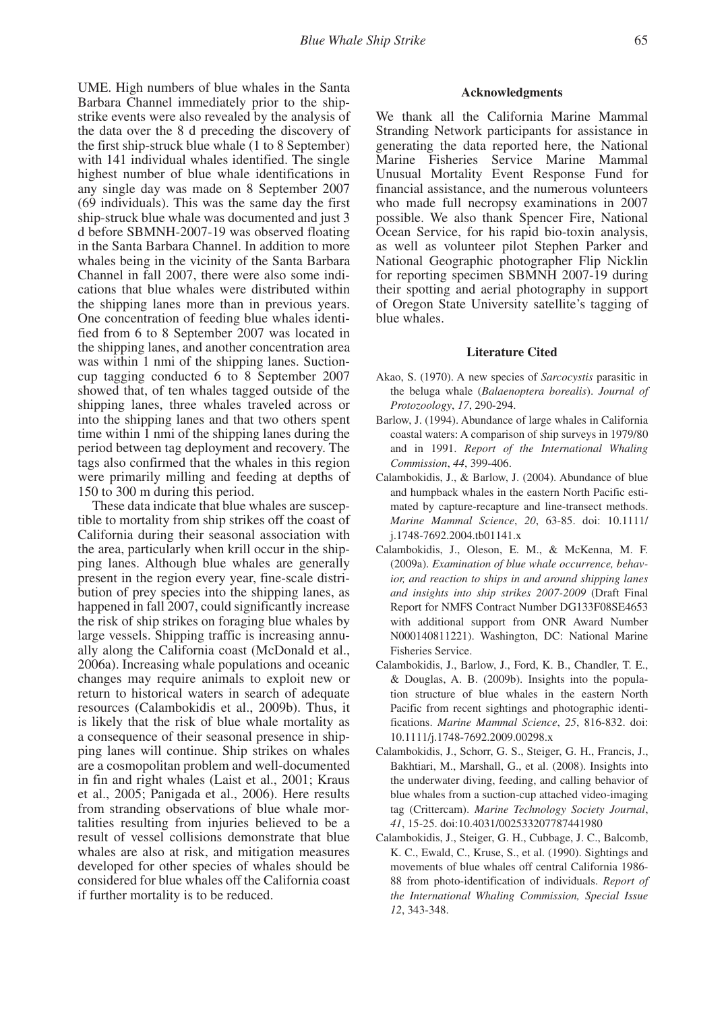UME. High numbers of blue whales in the Santa Barbara Channel immediately prior to the shipstrike events were also revealed by the analysis of the data over the 8 d preceding the discovery of the first ship-struck blue whale (1 to 8 September) with 141 individual whales identified. The single highest number of blue whale identifications in any single day was made on 8 September 2007 (69 individuals). This was the same day the first ship-struck blue whale was documented and just 3 d before SBMNH-2007-19 was observed floating in the Santa Barbara Channel. In addition to more whales being in the vicinity of the Santa Barbara Channel in fall 2007, there were also some indications that blue whales were distributed within the shipping lanes more than in previous years. One concentration of feeding blue whales identified from 6 to 8 September 2007 was located in the shipping lanes, and another concentration area was within 1 nmi of the shipping lanes. Suctioncup tagging conducted 6 to 8 September 2007 showed that, of ten whales tagged outside of the shipping lanes, three whales traveled across or into the shipping lanes and that two others spent time within 1 nmi of the shipping lanes during the period between tag deployment and recovery. The tags also confirmed that the whales in this region were primarily milling and feeding at depths of 150 to 300 m during this period.

These data indicate that blue whales are susceptible to mortality from ship strikes off the coast of California during their seasonal association with the area, particularly when krill occur in the shipping lanes. Although blue whales are generally present in the region every year, fine-scale distribution of prey species into the shipping lanes, as happened in fall 2007, could significantly increase the risk of ship strikes on foraging blue whales by large vessels. Shipping traffic is increasing annually along the California coast (McDonald et al., 2006a). Increasing whale populations and oceanic changes may require animals to exploit new or return to historical waters in search of adequate resources (Calambokidis et al., 2009b). Thus, it is likely that the risk of blue whale mortality as a consequence of their seasonal presence in shipping lanes will continue. Ship strikes on whales are a cosmopolitan problem and well-documented in fin and right whales (Laist et al., 2001; Kraus et al., 2005; Panigada et al., 2006). Here results from stranding observations of blue whale mortalities resulting from injuries believed to be a result of vessel collisions demonstrate that blue whales are also at risk, and mitigation measures developed for other species of whales should be considered for blue whales off the California coast if further mortality is to be reduced.

## **Acknowledgments**

We thank all the California Marine Mammal Stranding Network participants for assistance in generating the data reported here, the National Marine Fisheries Service Marine Mammal Unusual Mortality Event Response Fund for financial assistance, and the numerous volunteers who made full necropsy examinations in 2007 possible. We also thank Spencer Fire, National Ocean Service, for his rapid bio-toxin analysis, as well as volunteer pilot Stephen Parker and National Geographic photographer Flip Nicklin for reporting specimen SBMNH 2007-19 during their spotting and aerial photography in support of Oregon State University satellite's tagging of blue whales.

### **Literature Cited**

- Akao, S. (1970). A new species of *Sarcocystis* parasitic in the beluga whale (*Balaenoptera borealis*). *Journal of Protozoology*, *17*, 290-294.
- Barlow, J. (1994). Abundance of large whales in California coastal waters: A comparison of ship surveys in 1979/80 and in 1991. *Report of the International Whaling Commission*, *44*, 399-406.
- Calambokidis, J., & Barlow, J. (2004). Abundance of blue and humpback whales in the eastern North Pacific estimated by capture-recapture and line-transect methods. *Marine Mammal Science*, *20*, 63-85. doi: 10.1111/ j.1748-7692.2004.tb01141.x
- Calambokidis, J., Oleson, E. M., & McKenna, M. F. (2009a). *Examination of blue whale occurrence, behavior, and reaction to ships in and around shipping lanes and insights into ship strikes 2007-2009* (Draft Final Report for NMFS Contract Number DG133F08SE4653 with additional support from ONR Award Number N000140811221). Washington, DC: National Marine Fisheries Service.
- Calambokidis, J., Barlow, J., Ford, K. B., Chandler, T. E., & Douglas, A. B. (2009b). Insights into the population structure of blue whales in the eastern North Pacific from recent sightings and photographic identifications. *Marine Mammal Science*, *25*, 816-832. doi: 10.1111/j.1748-7692.2009.00298.x
- Calambokidis, J., Schorr, G. S., Steiger, G. H., Francis, J., Bakhtiari, M., Marshall, G., et al. (2008). Insights into the underwater diving, feeding, and calling behavior of blue whales from a suction-cup attached video-imaging tag (Crittercam). *Marine Technology Society Journal*, *41*, 15-25. doi:10.4031/002533207787441980
- Calambokidis, J., Steiger, G. H., Cubbage, J. C., Balcomb, K. C., Ewald, C., Kruse, S., et al. (1990). Sightings and movements of blue whales off central California 1986- 88 from photo-identification of individuals. *Report of the International Whaling Commission, Special Issue 12*, 343-348.